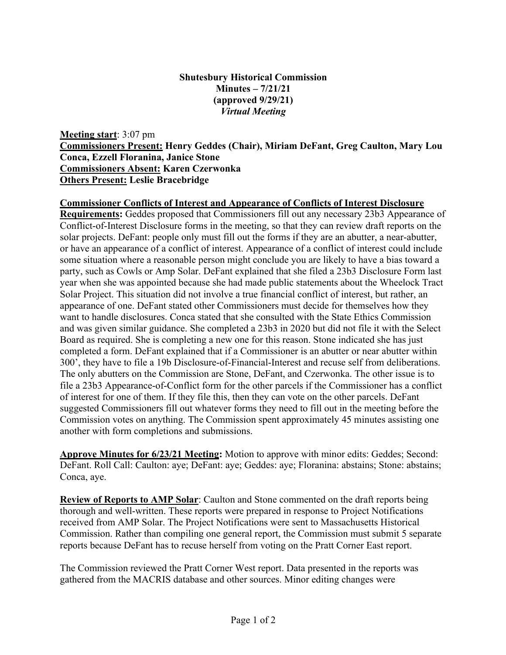## **Shutesbury Historical Commission Minutes – 7/21/21 (approved 9/29/21)** *Virtual Meeting*

**Meeting start**: 3:07 pm **Commissioners Present: Henry Geddes (Chair), Miriam DeFant, Greg Caulton, Mary Lou Conca, Ezzell Floranina, Janice Stone Commissioners Absent: Karen Czerwonka Others Present: Leslie Bracebridge**

## **Commissioner Conflicts of Interest and Appearance of Conflicts of Interest Disclosure**

**Requirements:** Geddes proposed that Commissioners fill out any necessary 23b3 Appearance of Conflict-of-Interest Disclosure forms in the meeting, so that they can review draft reports on the solar projects. DeFant: people only must fill out the forms if they are an abutter, a near-abutter, or have an appearance of a conflict of interest. Appearance of a conflict of interest could include some situation where a reasonable person might conclude you are likely to have a bias toward a party, such as Cowls or Amp Solar. DeFant explained that she filed a 23b3 Disclosure Form last year when she was appointed because she had made public statements about the Wheelock Tract Solar Project. This situation did not involve a true financial conflict of interest, but rather, an appearance of one. DeFant stated other Commissioners must decide for themselves how they want to handle disclosures. Conca stated that she consulted with the State Ethics Commission and was given similar guidance. She completed a 23b3 in 2020 but did not file it with the Select Board as required. She is completing a new one for this reason. Stone indicated she has just completed a form. DeFant explained that if a Commissioner is an abutter or near abutter within 300', they have to file a 19b Disclosure-of-Financial-Interest and recuse self from deliberations. The only abutters on the Commission are Stone, DeFant, and Czerwonka. The other issue is to file a 23b3 Appearance-of-Conflict form for the other parcels if the Commissioner has a conflict of interest for one of them. If they file this, then they can vote on the other parcels. DeFant suggested Commissioners fill out whatever forms they need to fill out in the meeting before the Commission votes on anything. The Commission spent approximately 45 minutes assisting one another with form completions and submissions.

**Approve Minutes for 6/23/21 Meeting:** Motion to approve with minor edits: Geddes; Second: DeFant. Roll Call: Caulton: aye; DeFant: aye; Geddes: aye; Floranina: abstains; Stone: abstains; Conca, aye.

**Review of Reports to AMP Solar**: Caulton and Stone commented on the draft reports being thorough and well-written. These reports were prepared in response to Project Notifications received from AMP Solar. The Project Notifications were sent to Massachusetts Historical Commission. Rather than compiling one general report, the Commission must submit 5 separate reports because DeFant has to recuse herself from voting on the Pratt Corner East report.

The Commission reviewed the Pratt Corner West report. Data presented in the reports was gathered from the MACRIS database and other sources. Minor editing changes were